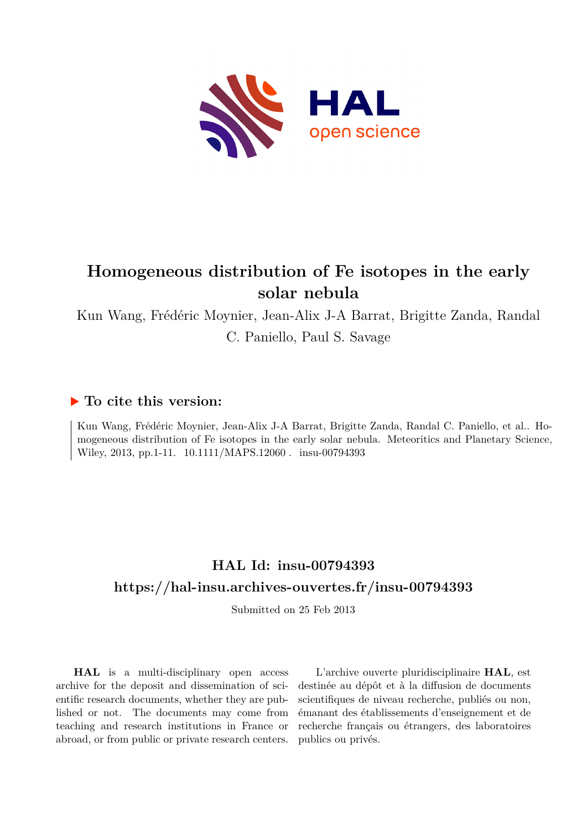

# **Homogeneous distribution of Fe isotopes in the early solar nebula**

Kun Wang, Frédéric Moynier, Jean-Alix J-A Barrat, Brigitte Zanda, Randal C. Paniello, Paul S. Savage

### **To cite this version:**

Kun Wang, Frédéric Moynier, Jean-Alix J-A Barrat, Brigitte Zanda, Randal C. Paniello, et al.. Homogeneous distribution of Fe isotopes in the early solar nebula. Meteoritics and Planetary Science, Wiley, 2013, pp.1-11.  $10.1111/MAPS.12060$ . insu-00794393

## **HAL Id: insu-00794393 <https://hal-insu.archives-ouvertes.fr/insu-00794393>**

Submitted on 25 Feb 2013

**HAL** is a multi-disciplinary open access archive for the deposit and dissemination of scientific research documents, whether they are published or not. The documents may come from teaching and research institutions in France or abroad, or from public or private research centers.

L'archive ouverte pluridisciplinaire **HAL**, est destinée au dépôt et à la diffusion de documents scientifiques de niveau recherche, publiés ou non, émanant des établissements d'enseignement et de recherche français ou étrangers, des laboratoires publics ou privés.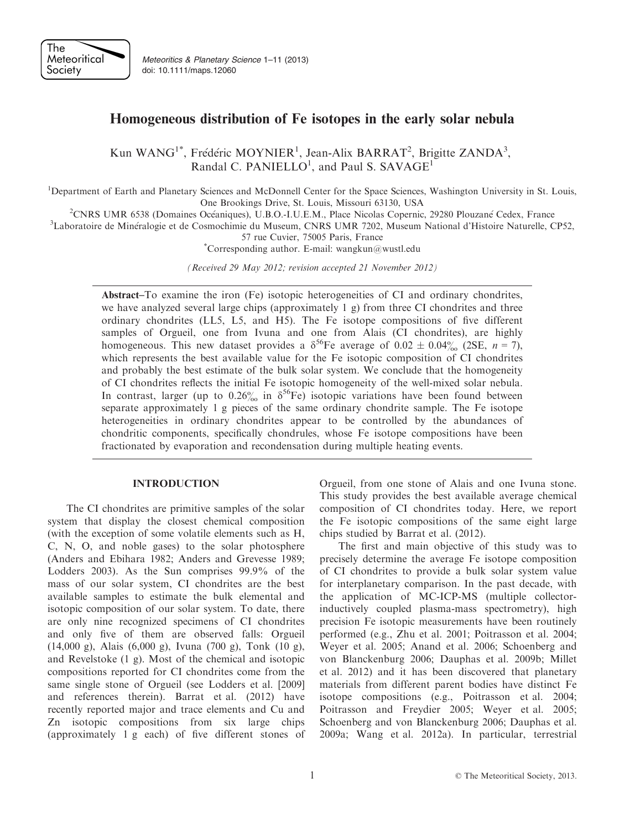

Meteoritics & Planetary Science 1–11 (2013) doi: 10.1111/maps.12060

### Homogeneous distribution of Fe isotopes in the early solar nebula

Kun WANG<sup>1\*</sup>, Frédéric MOYNIER<sup>1</sup>, Jean-Alix BARRAT<sup>2</sup>, Brigitte ZANDA<sup>3</sup>, Randal C. PANIELLO<sup>1</sup>, and Paul S. SAVAGE<sup>1</sup>

<sup>1</sup>Department of Earth and Planetary Sciences and McDonnell Center for the Space Sciences, Washington University in St. Louis, One Brookings Drive, St. Louis, Missouri 63130, USA<br><sup>2</sup>CNPS LIMP 6538 (Domaines Océaniques), U.B.O. LU.E.M., Place Nicolas Copernic

<sup>2</sup>CNRS UMR 6538 (Domaines Océaniques), U.B.O.-I.U.E.M., Place Nicolas Copernic, 29280 Plouzané Cedex, France 31<br><sup>3</sup>I aboratoire de Minéralogie et de Cosmochimie du Museum, CNRS UMR 7202, Museum National d'Histoire Naturel

Laboratoire de Mineralogie et de Cosmochimie du Museum, CNRS UMR 7202, Museum National d'Histoire Naturelle, CP52, 57 rue Cuvier, 75005 Paris, France \*

Corresponding author. E-mail: wangkun@wustl.edu

(Received 29 May 2012; revision accepted 21 November 2012)

Abstract–To examine the iron (Fe) isotopic heterogeneities of CI and ordinary chondrites, we have analyzed several large chips (approximately 1 g) from three CI chondrites and three ordinary chondrites (LL5, L5, and H5). The Fe isotope compositions of five different samples of Orgueil, one from Ivuna and one from Alais (CI chondrites), are highly homogeneous. This new dataset provides a  $\delta^{56}$ Fe average of 0.02  $\pm$  0.04‰ (2SE, n = 7), which represents the best available value for the Fe isotopic composition of CI chondrites and probably the best estimate of the bulk solar system. We conclude that the homogeneity of CI chondrites reflects the initial Fe isotopic homogeneity of the well-mixed solar nebula. In contrast, larger (up to  $0.26\%$  in  $\delta^{56}$ Fe) isotopic variations have been found between separate approximately 1 g pieces of the same ordinary chondrite sample. The Fe isotope heterogeneities in ordinary chondrites appear to be controlled by the abundances of chondritic components, specifically chondrules, whose Fe isotope compositions have been fractionated by evaporation and recondensation during multiple heating events.

#### INTRODUCTION

The CI chondrites are primitive samples of the solar system that display the closest chemical composition (with the exception of some volatile elements such as H, C, N, O, and noble gases) to the solar photosphere (Anders and Ebihara 1982; Anders and Grevesse 1989; Lodders 2003). As the Sun comprises 99.9% of the mass of our solar system, CI chondrites are the best available samples to estimate the bulk elemental and isotopic composition of our solar system. To date, there are only nine recognized specimens of CI chondrites and only five of them are observed falls: Orgueil (14,000 g), Alais (6,000 g), Ivuna (700 g), Tonk (10 g), and Revelstoke (1 g). Most of the chemical and isotopic compositions reported for CI chondrites come from the same single stone of Orgueil (see Lodders et al. [2009] and references therein). Barrat et al. (2012) have recently reported major and trace elements and Cu and Zn isotopic compositions from six large chips (approximately 1 g each) of five different stones of Orgueil, from one stone of Alais and one Ivuna stone. This study provides the best available average chemical composition of CI chondrites today. Here, we report the Fe isotopic compositions of the same eight large chips studied by Barrat et al. (2012).

The first and main objective of this study was to precisely determine the average Fe isotope composition of CI chondrites to provide a bulk solar system value for interplanetary comparison. In the past decade, with the application of MC-ICP-MS (multiple collectorinductively coupled plasma-mass spectrometry), high precision Fe isotopic measurements have been routinely performed (e.g., Zhu et al. 2001; Poitrasson et al. 2004; Weyer et al. 2005; Anand et al. 2006; Schoenberg and von Blanckenburg 2006; Dauphas et al. 2009b; Millet et al. 2012) and it has been discovered that planetary materials from different parent bodies have distinct Fe isotope compositions (e.g., Poitrasson et al. 2004; Poitrasson and Freydier 2005; Weyer et al. 2005; Schoenberg and von Blanckenburg 2006; Dauphas et al. 2009a; Wang et al. 2012a). In particular, terrestrial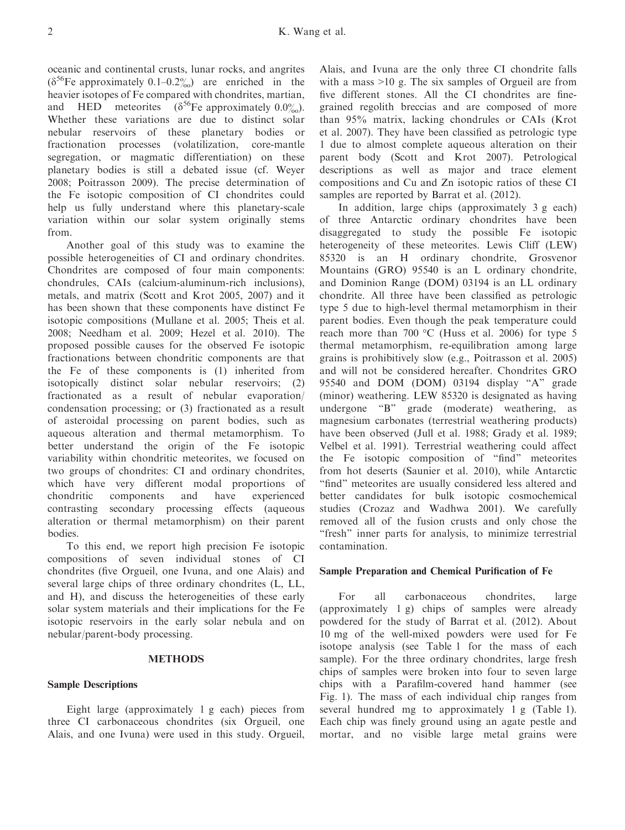oceanic and continental crusts, lunar rocks, and angrites  $(\delta^{56}$ Fe approximately 0.1–0.2%) are enriched in the heavier isotopes of Fe compared with chondrites, martian, and HED meteorites ( $\delta^{56}$ Fe approximately 0.0%). Whether these variations are due to distinct solar nebular reservoirs of these planetary bodies or fractionation processes (volatilization, core-mantle segregation, or magmatic differentiation) on these planetary bodies is still a debated issue (cf. Weyer 2008; Poitrasson 2009). The precise determination of the Fe isotopic composition of CI chondrites could help us fully understand where this planetary-scale variation within our solar system originally stems from.

Another goal of this study was to examine the possible heterogeneities of CI and ordinary chondrites. Chondrites are composed of four main components: chondrules, CAIs (calcium-aluminum-rich inclusions), metals, and matrix (Scott and Krot 2005, 2007) and it has been shown that these components have distinct Fe isotopic compositions (Mullane et al. 2005; Theis et al. 2008; Needham et al. 2009; Hezel et al. 2010). The proposed possible causes for the observed Fe isotopic fractionations between chondritic components are that the Fe of these components is (1) inherited from isotopically distinct solar nebular reservoirs; (2) fractionated as a result of nebular evaporation/ condensation processing; or (3) fractionated as a result of asteroidal processing on parent bodies, such as aqueous alteration and thermal metamorphism. To better understand the origin of the Fe isotopic variability within chondritic meteorites, we focused on two groups of chondrites: CI and ordinary chondrites, which have very different modal proportions of chondritic components and have experienced contrasting secondary processing effects (aqueous alteration or thermal metamorphism) on their parent bodies.

To this end, we report high precision Fe isotopic compositions of seven individual stones of CI chondrites (five Orgueil, one Ivuna, and one Alais) and several large chips of three ordinary chondrites (L, LL, and H), and discuss the heterogeneities of these early solar system materials and their implications for the Fe isotopic reservoirs in the early solar nebula and on nebular/parent-body processing.

#### **METHODS**

#### Sample Descriptions

Eight large (approximately 1 g each) pieces from three CI carbonaceous chondrites (six Orgueil, one Alais, and one Ivuna) were used in this study. Orgueil,

Alais, and Ivuna are the only three CI chondrite falls with a mass >10 g. The six samples of Orgueil are from five different stones. All the CI chondrites are finegrained regolith breccias and are composed of more than 95% matrix, lacking chondrules or CAIs (Krot et al. 2007). They have been classified as petrologic type 1 due to almost complete aqueous alteration on their parent body (Scott and Krot 2007). Petrological descriptions as well as major and trace element compositions and Cu and Zn isotopic ratios of these CI samples are reported by Barrat et al. (2012).

In addition, large chips (approximately 3 g each) of three Antarctic ordinary chondrites have been disaggregated to study the possible Fe isotopic heterogeneity of these meteorites. Lewis Cliff (LEW) 85320 is an H ordinary chondrite, Grosvenor Mountains (GRO) 95540 is an L ordinary chondrite, and Dominion Range (DOM) 03194 is an LL ordinary chondrite. All three have been classified as petrologic type 5 due to high-level thermal metamorphism in their parent bodies. Even though the peak temperature could reach more than 700 °C (Huss et al. 2006) for type 5 thermal metamorphism, re-equilibration among large grains is prohibitively slow (e.g., Poitrasson et al. 2005) and will not be considered hereafter. Chondrites GRO 95540 and DOM (DOM) 03194 display "A" grade (minor) weathering. LEW 85320 is designated as having undergone "B" grade (moderate) weathering, as magnesium carbonates (terrestrial weathering products) have been observed (Jull et al. 1988; Grady et al. 1989; Velbel et al. 1991). Terrestrial weathering could affect the Fe isotopic composition of "find" meteorites from hot deserts (Saunier et al. 2010), while Antarctic "find" meteorites are usually considered less altered and better candidates for bulk isotopic cosmochemical studies (Crozaz and Wadhwa 2001). We carefully removed all of the fusion crusts and only chose the "fresh" inner parts for analysis, to minimize terrestrial contamination.

#### Sample Preparation and Chemical Purification of Fe

For all carbonaceous chondrites, large (approximately 1 g) chips of samples were already powdered for the study of Barrat et al. (2012). About 10 mg of the well-mixed powders were used for Fe isotope analysis (see Table 1 for the mass of each sample). For the three ordinary chondrites, large fresh chips of samples were broken into four to seven large chips with a Parafilm-covered hand hammer (see Fig. 1). The mass of each individual chip ranges from several hundred mg to approximately 1 g (Table 1). Each chip was finely ground using an agate pestle and mortar, and no visible large metal grains were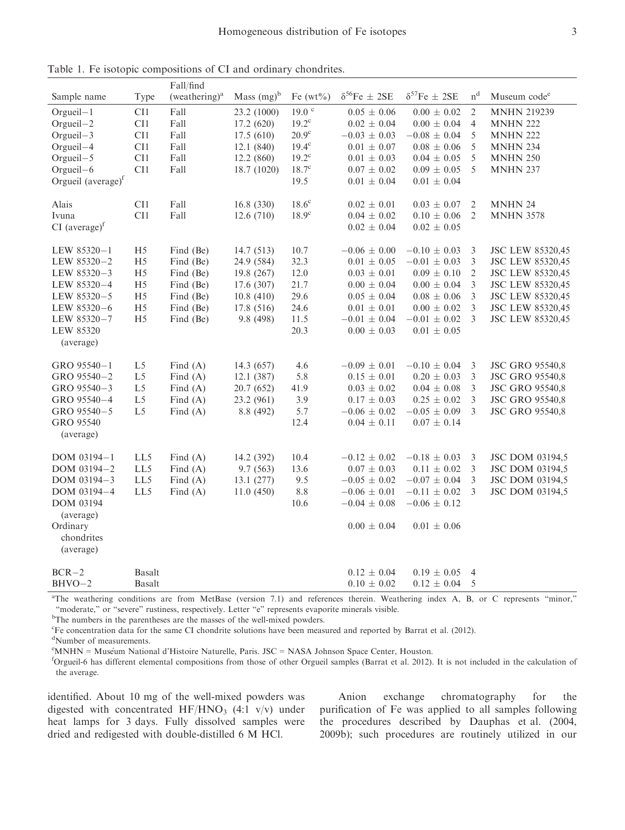|                                          |                | Fall/find                 |               |                  |                                       |                                         |                |                          |
|------------------------------------------|----------------|---------------------------|---------------|------------------|---------------------------------------|-----------------------------------------|----------------|--------------------------|
| Sample name                              | Type           | (weathering) <sup>a</sup> | Mass $(mg)^b$ | Fe $(wt\%)$      | $\delta^{56}\text{Fe} \pm 2\text{SE}$ | $\delta^{57}\text{Fe}\,\pm\,2\text{SE}$ | n <sup>d</sup> | Museum code <sup>e</sup> |
| Orgueil-1                                | CI1            | Fall                      | 23.2 (1000)   | $19.0$ $\degree$ | $0.05 \pm 0.06$                       | $0.00 \pm 0.02$                         | $\overline{2}$ | <b>MNHN 219239</b>       |
| Orgueil-2                                | CI1            | Fall                      | 17.2(620)     | $19.2^{\circ}$   | $0.02 \pm 0.04$                       | $0.00 \pm 0.04$                         | $\overline{4}$ | <b>MNHN 222</b>          |
| $O$ rgueil $-3$                          | CI1            | Fall                      | 17.5(610)     | $20.9^\circ$     | $-0.03 \pm 0.03$                      | $-0.08 \pm 0.04$                        | 5              | <b>MNHN 222</b>          |
| Orgueil-4                                | CI1            | Fall                      | 12.1(840)     | $19.4^\circ$     | $0.01 \pm 0.07$                       | $0.08 \pm 0.06$                         | 5              | <b>MNHN 234</b>          |
| Orgueil-5                                | CI1            | Fall                      | 12.2(860)     | $19.2^{\circ}$   | $0.01 \pm 0.03$                       | $0.04 \pm 0.05$                         | 5              | <b>MNHN 250</b>          |
| Orgueil-6                                | CI1            | Fall                      | 18.7 (1020)   | $18.7^\circ$     | $0.07 \pm 0.02$                       | $0.09 \pm 0.05$                         | 5              | <b>MNHN 237</b>          |
| Orgueil (average) <sup>f</sup>           |                |                           |               | 19.5             | $0.01 \pm 0.04$                       | $0.01 \pm 0.04$                         |                |                          |
| Alais                                    | CI1            | Fall                      | 16.8(330)     | $18.6^{\circ}$   | $0.02 \pm 0.01$                       | $0.03 \pm 0.07$                         | 2              | <b>MNHN 24</b>           |
| Ivuna                                    | CI1            | Fall                      | 12.6(710)     | $18.9^{\circ}$   | $0.04 \pm 0.02$                       | $0.10 \pm 0.06$                         | $\overline{2}$ | <b>MNHN 3578</b>         |
| $CI$ (average) <sup><math>f</math></sup> |                |                           |               |                  | $0.02 \pm 0.04$                       | $0.02 \pm 0.05$                         |                |                          |
| LEW 85320-1                              | H <sub>5</sub> | Find (Be)                 | 14.7 (513)    | 10.7             | $-0.06 \pm 0.00$                      | $-0.10 \pm 0.03$                        | 3              | <b>JSC LEW 85320,45</b>  |
| LEW 85320-2                              | H <sub>5</sub> | Find (Be)                 | 24.9 (584)    | 32.3             | $0.01 \pm 0.05$                       | $-0.01 \pm 0.03$                        | 3              | <b>JSC LEW 85320,45</b>  |
| LEW 85320-3                              | H <sub>5</sub> | Find (Be)                 | 19.8 (267)    | 12.0             | $0.03 \pm 0.01$                       | $0.09 \pm 0.10$                         | $\overline{2}$ | <b>JSC LEW 85320,45</b>  |
| LEW 85320-4                              | H <sub>5</sub> | Find (Be)                 | 17.6 (307)    | 21.7             | $0.00 \pm 0.04$                       | $0.00 \pm 0.04$                         | 3              | <b>JSC LEW 85320,45</b>  |
| LEW 85320-5                              | H <sub>5</sub> | Find (Be)                 | 10.8(410)     | 29.6             | $0.05 \pm 0.04$                       | $0.08 \pm 0.06$                         | 3              | <b>JSC LEW 85320,45</b>  |
| LEW 85320-6                              | H <sub>5</sub> | Find (Be)                 | 17.8 (516)    | 24.6             | $0.01\,\pm\,0.01$                     | $0.00 \pm 0.02$                         | 3              | <b>JSC LEW 85320,45</b>  |
| LEW 85320-7                              | H <sub>5</sub> | Find (Be)                 | 9.8 (498)     | 11.5             | $-0.01 \pm 0.04$                      | $-0.01 \pm 0.02$                        | 3              | <b>JSC LEW 85320,45</b>  |
| <b>LEW 85320</b><br>(average)            |                |                           |               | 20.3             | $0.00 \pm 0.03$                       | $0.01 \pm 0.05$                         |                |                          |
| GRO 95540-1                              | L5             | Find $(A)$                | 14.3 (657)    | 4.6              | $-0.09 \pm 0.01$                      | $-0.10 \pm 0.04$                        | 3              | <b>JSC GRO 95540,8</b>   |
| GRO 95540-2                              | L <sub>5</sub> | Find $(A)$                | 12.1 (387)    | 5.8              | $0.15 \pm 0.01$                       | $0.20 \pm 0.03$                         | 3              | <b>JSC GRO 95540,8</b>   |
| GRO 95540-3                              | L <sub>5</sub> | Find $(A)$                | 20.7 (652)    | 41.9             | $0.03 \pm 0.02$                       | $0.04 \pm 0.08$                         | 3              | <b>JSC GRO 95540,8</b>   |
| GRO 95540-4                              | L <sub>5</sub> | Find $(A)$                | 23.2 (961)    | 3.9              | $0.17 \pm 0.03$                       | $0.25 \pm 0.02$                         | 3              | <b>JSC GRO 95540,8</b>   |
| GRO 95540-5                              | L5             | Find $(A)$                | 8.8 (492)     | 5.7              | $-0.06 \pm 0.02$                      | $-0.05 \pm 0.09$                        | 3              | <b>JSC GRO 95540,8</b>   |
| GRO 95540<br>(average)                   |                |                           |               | 12.4             | $0.04 \pm 0.11$                       | $0.07 \pm 0.14$                         |                |                          |
|                                          |                |                           |               |                  |                                       |                                         |                |                          |
| DOM 03194-1                              | LL5            | Find $(A)$                | 14.2 (392)    | 10.4             | $-0.12 \pm 0.02$                      | $-0.18 \pm 0.03$                        | 3              | JSC DOM 03194,5          |
| DOM 03194-2                              | LL5            | Find $(A)$                | 9.7(563)      | 13.6             | $0.07 \pm 0.03$                       | $0.11 \pm 0.02$                         | 3              | <b>JSC DOM 03194,5</b>   |
| DOM 03194-3                              | LL5            | Find $(A)$                | 13.1 (277)    | 9.5              | $-0.05 \pm 0.02$                      | $-0.07 \pm 0.04$                        | 3              | JSC DOM 03194,5          |
| DOM 03194-4                              | LL5            | Find $(A)$                | 11.0(450)     | $8.8\,$          | $-0.06 \pm 0.01$                      | $-0.11 \pm 0.02$                        | 3              | JSC DOM 03194,5          |
| DOM 03194<br>(average)                   |                |                           |               | 10.6             | $-0.04 \pm 0.08$                      | $-0.06 \pm 0.12$                        |                |                          |
| Ordinary<br>chondrites<br>(average)      |                |                           |               |                  | $0.00 \pm 0.04$                       | $0.01 \pm 0.06$                         |                |                          |
| $BCR-2$                                  | <b>Basalt</b>  |                           |               |                  | $0.12 \pm 0.04$                       | $0.19 \pm 0.05$                         | $\overline{4}$ |                          |
| $BHVO-2$                                 | <b>Basalt</b>  |                           |               |                  | $0.10 \pm 0.02$                       | $0.12 \pm 0.04$                         | 5              |                          |
|                                          |                |                           |               |                  |                                       |                                         |                |                          |

Table 1. Fe isotopic compositions of CI and ordinary chondrites.

a The weathering conditions are from MetBase (version 7.1) and references therein. Weathering index A, B, or C represents "minor," "moderate," or "severe" rustiness, respectively. Letter "e" represents evaporite minerals visible.

<sup>b</sup>The numbers in the parentheses are the masses of the well-mixed powders.

c Fe concentration data for the same CI chondrite solutions have been measured and reported by Barrat et al. (2012).

d Number of measurements.

e MNHN = Museum National d'Histoire Naturelle, Paris. JSC = NASA Johnson Space Center, Houston.<br>Corqueil 6 has different elemental compositions from those of other Orqueil samples (Barrat et al. 2012).

 ${}^{f}$ Orgueil-6 has different elemental compositions from those of other Orgueil samples (Barrat et al. 2012). It is not included in the calculation of the average.

identified. About 10 mg of the well-mixed powders was digested with concentrated  $HF/HNO<sub>3</sub>$  (4:1 v/v) under heat lamps for 3 days. Fully dissolved samples were dried and redigested with double-distilled 6 M HCl.

Anion exchange chromatography for the purification of Fe was applied to all samples following the procedures described by Dauphas et al. (2004, 2009b); such procedures are routinely utilized in our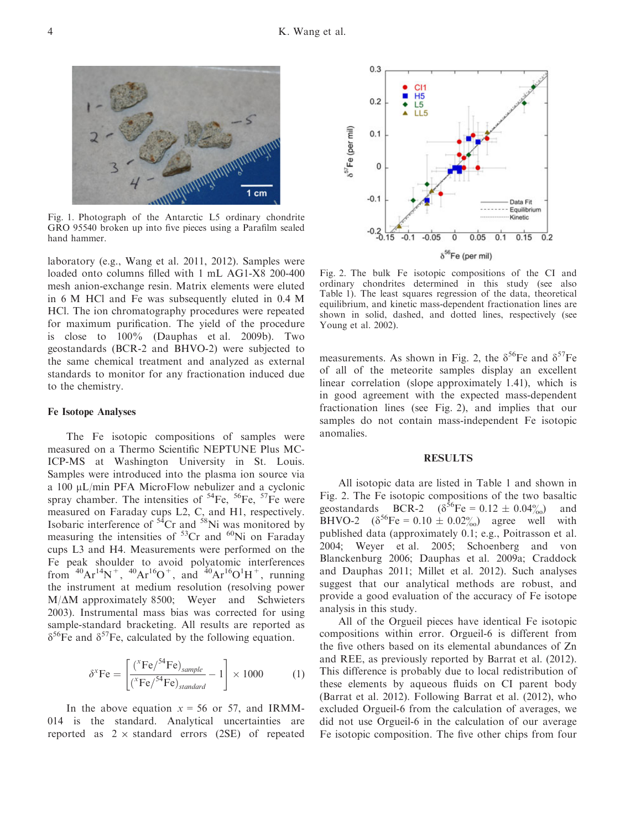

Fig. 1. Photograph of the Antarctic L5 ordinary chondrite GRO 95540 broken up into five pieces using a Parafilm sealed hand hammer.

laboratory (e.g., Wang et al. 2011, 2012). Samples were loaded onto columns filled with 1 mL AG1-X8 200-400 mesh anion-exchange resin. Matrix elements were eluted in 6 M HCl and Fe was subsequently eluted in 0.4 M HCl. The ion chromatography procedures were repeated for maximum purification. The yield of the procedure is close to 100% (Dauphas et al. 2009b). Two geostandards (BCR-2 and BHVO-2) were subjected to the same chemical treatment and analyzed as external standards to monitor for any fractionation induced due to the chemistry.

#### Fe Isotope Analyses

The Fe isotopic compositions of samples were measured on a Thermo Scientific NEPTUNE Plus MC-ICP-MS at Washington University in St. Louis. Samples were introduced into the plasma ion source via a  $100 \mu L/min$  PFA MicroFlow nebulizer and a cyclonic spray chamber. The intensities of  ${}^{54}Fe$ ,  ${}^{56}Fe$ ,  ${}^{57}Fe$  were measured on Faraday cups L2, C, and H1, respectively. Isobaric interference of  $54Cr$  and  $58Ni$  was monitored by measuring the intensities of  $53Cr$  and  $60Ni$  on Faraday cups L3 and H4. Measurements were performed on the Fe peak shoulder to avoid polyatomic interferences from  $^{40}Ar^{14}N^+$ ,  $^{40}Ar^{16}O^+$ , and  $^{40}Ar^{16}O^1H^+$ , running the instrument at medium resolution (resolving power  $M/\Delta M$  approximately 8500; Weyer and Schwieters 2003). Instrumental mass bias was corrected for using sample-standard bracketing. All results are reported as  $\delta^{56}$ Fe and  $\delta^{57}$ Fe, calculated by the following equation.

$$
\delta^x \mathbf{F} \mathbf{e} = \begin{bmatrix} \frac{(^{x}\mathbf{F} \mathbf{e}/^{54}\mathbf{F} \mathbf{e})_{sample}}{(^{x}\mathbf{F} \mathbf{e}/^{54}\mathbf{F} \mathbf{e})_{standard}} - 1 \end{bmatrix} \times 1000 \tag{1}
$$

In the above equation  $x = 56$  or 57, and IRMM-014 is the standard. Analytical uncertainties are reported as  $2 \times$  standard errors (2SE) of repeated



Fig. 2. The bulk Fe isotopic compositions of the CI and ordinary chondrites determined in this study (see also Table 1). The least squares regression of the data, theoretical equilibrium, and kinetic mass-dependent fractionation lines are shown in solid, dashed, and dotted lines, respectively (see Young et al. 2002).

measurements. As shown in Fig. 2, the  $\delta^{56}$ Fe and  $\delta^{57}$ Fe of all of the meteorite samples display an excellent linear correlation (slope approximately 1.41), which is in good agreement with the expected mass-dependent fractionation lines (see Fig. 2), and implies that our samples do not contain mass-independent Fe isotopic anomalies.

#### RESULTS

All isotopic data are listed in Table 1 and shown in Fig. 2. The Fe isotopic compositions of the two basaltic geostandards BCR-2 ( $\delta^{56}$ Fe = 0.12  $\pm$  0.04%) and BHVO-2  $(\delta^{56}Fe = 0.10 \pm 0.02\%)$  agree well with published data (approximately 0.1; e.g., Poitrasson et al. 2004; Weyer et al. 2005; Schoenberg and von Blanckenburg 2006; Dauphas et al. 2009a; Craddock and Dauphas 2011; Millet et al. 2012). Such analyses suggest that our analytical methods are robust, and provide a good evaluation of the accuracy of Fe isotope analysis in this study.

All of the Orgueil pieces have identical Fe isotopic compositions within error. Orgueil-6 is different from the five others based on its elemental abundances of Zn and REE, as previously reported by Barrat et al. (2012). This difference is probably due to local redistribution of these elements by aqueous fluids on CI parent body (Barrat et al. 2012). Following Barrat et al. (2012), who excluded Orgueil-6 from the calculation of averages, we did not use Orgueil-6 in the calculation of our average Fe isotopic composition. The five other chips from four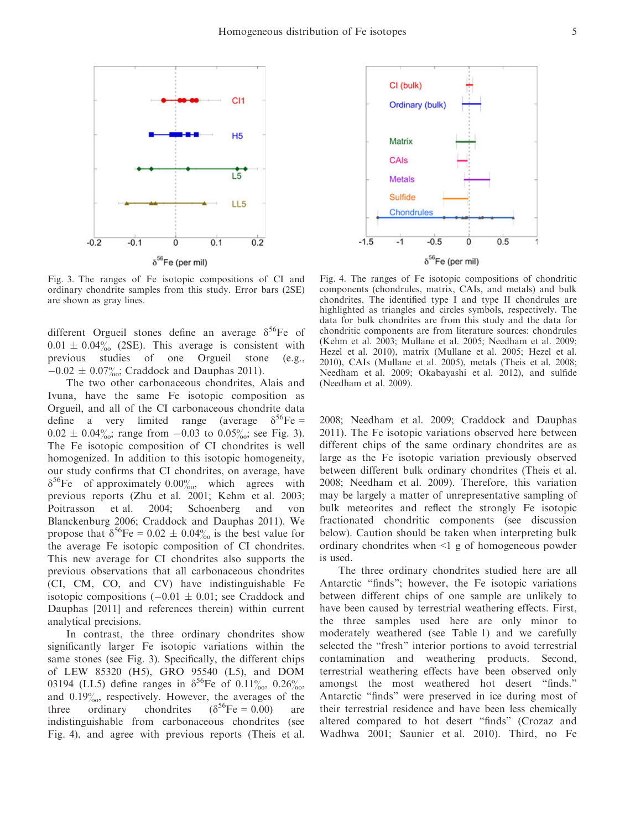

Fig. 3. The ranges of Fe isotopic compositions of CI and ordinary chondrite samples from this study. Error bars (2SE) are shown as gray lines.

different Orgueil stones define an average  $\delta^{56}$ Fe of  $0.01 \pm 0.04\%$  (2SE). This average is consistent with previous studies of one Orgueil stone (e.g., studies of one  $-0.02 \pm 0.07\frac{\nu}{\omega}$ ; Craddock and Dauphas 2011).

The two other carbonaceous chondrites, Alais and Ivuna, have the same Fe isotopic composition as Orgueil, and all of the CI carbonaceous chondrite data define a very limited range (average  $\delta^{56}$ Fe =  $0.02 \pm 0.04\%$ ; range from  $-0.03$  to  $0.05\%$ ; see Fig. 3). The Fe isotopic composition of CI chondrites is well homogenized. In addition to this isotopic homogeneity, our study confirms that CI chondrites, on average, have  $\delta^{56}$ Fe of approximately 0.00%, which agrees with previous reports (Zhu et al. 2001; Kehm et al. 2003; Poitrasson et al. 2004; Schoenberg and von Blanckenburg 2006; Craddock and Dauphas 2011). We propose that  $\delta^{56}$ Fe = 0.02  $\pm$  0.04‰ is the best value for the average Fe isotopic composition of CI chondrites. This new average for CI chondrites also supports the previous observations that all carbonaceous chondrites (CI, CM, CO, and CV) have indistinguishable Fe isotopic compositions  $(-0.01 \pm 0.01)$ ; see Craddock and Dauphas [2011] and references therein) within current analytical precisions.

In contrast, the three ordinary chondrites show significantly larger Fe isotopic variations within the same stones (see Fig. 3). Specifically, the different chips of LEW 85320 (H5), GRO 95540 (L5), and DOM 03194 (LL5) define ranges in  $\delta^{56}$ Fe of 0.11 $\%$ , 0.26 $\%$ , and  $0.19\%$ , respectively. However, the averages of the three ordinary chondrites  $(\delta^{56}Fe = 0.00)$  are indistinguishable from carbonaceous chondrites (see Fig. 4), and agree with previous reports (Theis et al.



Fig. 4. The ranges of Fe isotopic compositions of chondritic components (chondrules, matrix, CAIs, and metals) and bulk chondrites. The identified type I and type II chondrules are highlighted as triangles and circles symbols, respectively. The data for bulk chondrites are from this study and the data for chondritic components are from literature sources: chondrules (Kehm et al. 2003; Mullane et al. 2005; Needham et al. 2009; Hezel et al. 2010), matrix (Mullane et al. 2005; Hezel et al. 2010), CAIs (Mullane et al. 2005), metals (Theis et al. 2008; Needham et al. 2009; Okabayashi et al. 2012), and sulfide (Needham et al. 2009).

2008; Needham et al. 2009; Craddock and Dauphas 2011). The Fe isotopic variations observed here between different chips of the same ordinary chondrites are as large as the Fe isotopic variation previously observed between different bulk ordinary chondrites (Theis et al. 2008; Needham et al. 2009). Therefore, this variation may be largely a matter of unrepresentative sampling of bulk meteorites and reflect the strongly Fe isotopic fractionated chondritic components (see discussion below). Caution should be taken when interpreting bulk ordinary chondrites when <1 g of homogeneous powder is used.

The three ordinary chondrites studied here are all Antarctic "finds"; however, the Fe isotopic variations between different chips of one sample are unlikely to have been caused by terrestrial weathering effects. First, the three samples used here are only minor to moderately weathered (see Table 1) and we carefully selected the "fresh" interior portions to avoid terrestrial contamination and weathering products. Second, terrestrial weathering effects have been observed only amongst the most weathered hot desert "finds." Antarctic "finds" were preserved in ice during most of their terrestrial residence and have been less chemically altered compared to hot desert "finds" (Crozaz and Wadhwa 2001; Saunier et al. 2010). Third, no Fe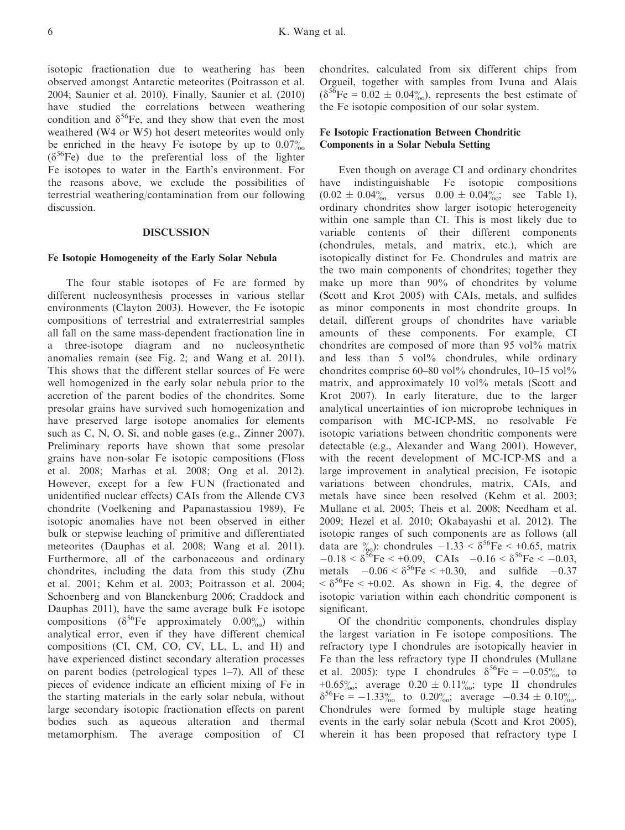isotopic fractionation due to weathering has been observed amongst Antarctic meteorites (Poitrasson et al. 2004; Saunier et al. 2010). Finally, Saunier et al. (2010) have studied the correlations between weathering condition and  $\delta^{56}$ Fe, and they show that even the most weathered (W4 or W5) hot desert meteorites would only be enriched in the heavy Fe isotope by up to  $0.07\%$  $(\delta^{56}Fe)$  due to the preferential loss of the lighter Fe isotopes to water in the Earth's environment. For the reasons above, we exclude the possibilities of terrestrial weathering/contamination from our following discussion.

#### DISCUSSION

#### Fe Isotopic Homogeneity of the Early Solar Nebula

The four stable isotopes of Fe are formed by different nucleosynthesis processes in various stellar environments (Clayton 2003). However, the Fe isotopic compositions of terrestrial and extraterrestrial samples all fall on the same mass-dependent fractionation line in a three-isotope diagram and no nucleosynthetic anomalies remain (see Fig. 2; and Wang et al. 2011). This shows that the different stellar sources of Fe were well homogenized in the early solar nebula prior to the accretion of the parent bodies of the chondrites. Some presolar grains have survived such homogenization and have preserved large isotope anomalies for elements such as C, N, O, Si, and noble gases (e.g., Zinner 2007). Preliminary reports have shown that some presolar grains have non-solar Fe isotopic compositions (Floss et al. 2008; Marhas et al. 2008; Ong et al. 2012). However, except for a few FUN (fractionated and unidentified nuclear effects) CAIs from the Allende CV3 chondrite (Voelkening and Papanastassiou 1989), Fe isotopic anomalies have not been observed in either bulk or stepwise leaching of primitive and differentiated meteorites (Dauphas et al. 2008; Wang et al. 2011). Furthermore, all of the carbonaceous and ordinary chondrites, including the data from this study (Zhu et al. 2001; Kehm et al. 2003; Poitrasson et al. 2004; Schoenberg and von Blanckenburg 2006; Craddock and Dauphas 2011), have the same average bulk Fe isotope compositions ( $\delta^{56}$ Fe approximately 0.00%) within analytical error, even if they have different chemical compositions (CI, CM, CO, CV, LL, L, and H) and have experienced distinct secondary alteration processes on parent bodies (petrological types 1–7). All of these pieces of evidence indicate an efficient mixing of Fe in the starting materials in the early solar nebula, without large secondary isotopic fractionation effects on parent bodies such as aqueous alteration and thermal metamorphism. The average composition of CI chondrites, calculated from six different chips from Orgueil, together with samples from Ivuna and Alais  $(\delta^{56}$ Fe = 0.02  $\pm$  0.04%), represents the best estimate of the Fe isotopic composition of our solar system.

#### Fe Isotopic Fractionation Between Chondritic Components in a Solar Nebula Setting

Even though on average CI and ordinary chondrites have indistinguishable Fe isotopic compositions  $(0.02 \pm 0.04\% \text{ versus } 0.00 \pm 0.04\% \text{ is } 1),$ ordinary chondrites show larger isotopic heterogeneity within one sample than CI. This is most likely due to variable contents of their different components (chondrules, metals, and matrix, etc.), which are isotopically distinct for Fe. Chondrules and matrix are the two main components of chondrites; together they make up more than 90% of chondrites by volume (Scott and Krot 2005) with CAIs, metals, and sulfides as minor components in most chondrite groups. In detail, different groups of chondrites have variable amounts of these components. For example, CI chondrites are composed of more than 95 vol% matrix and less than 5 vol% chondrules, while ordinary chondrites comprise  $60-80$  vol% chondrules,  $10-15$  vol% matrix, and approximately 10 vol% metals (Scott and Krot 2007). In early literature, due to the larger analytical uncertainties of ion microprobe techniques in comparison with MC-ICP-MS, no resolvable Fe isotopic variations between chondritic components were detectable (e.g., Alexander and Wang 2001). However, with the recent development of MC-ICP-MS and a large improvement in analytical precision, Fe isotopic variations between chondrules, matrix, CAIs, and metals have since been resolved (Kehm et al. 2003; Mullane et al. 2005; Theis et al. 2008; Needham et al. 2009; Hezel et al. 2010; Okabayashi et al. 2012). The isotopic ranges of such components are as follows (all data are  $\frac{\%}{\%}$ : chondrules  $-1.33 < \delta^{56}$ Fe  $\lt +0.65$ , matrix  $-0.18 < \delta^{56}$ Fe  $\leq +0.09$ , CAIs  $-0.16 < \delta^{56}$ Fe  $\leq -0.03$ , metals  $-0.06 < \delta^{56}$ Fe  $< +0.30$ , and sulfide  $-0.37$  $< \delta^{56}$ Fe  $< +0.02$ . As shown in Fig. 4, the degree of isotopic variation within each chondritic component is significant.

Of the chondritic components, chondrules display the largest variation in Fe isotope compositions. The refractory type I chondrules are isotopically heavier in Fe than the less refractory type II chondrules (Mullane et al. 2005): type I chondrules  $\delta^{56}$ Fe = -0.05% to +0.65%; average  $0.20 \pm 0.11\%$ ; type II chondrules  $\delta^{56}$ Fe = -1.33‰ to 0.20‰; average -0.34 ± 0.10‰ Chondrules were formed by multiple stage heating events in the early solar nebula (Scott and Krot 2005), wherein it has been proposed that refractory type I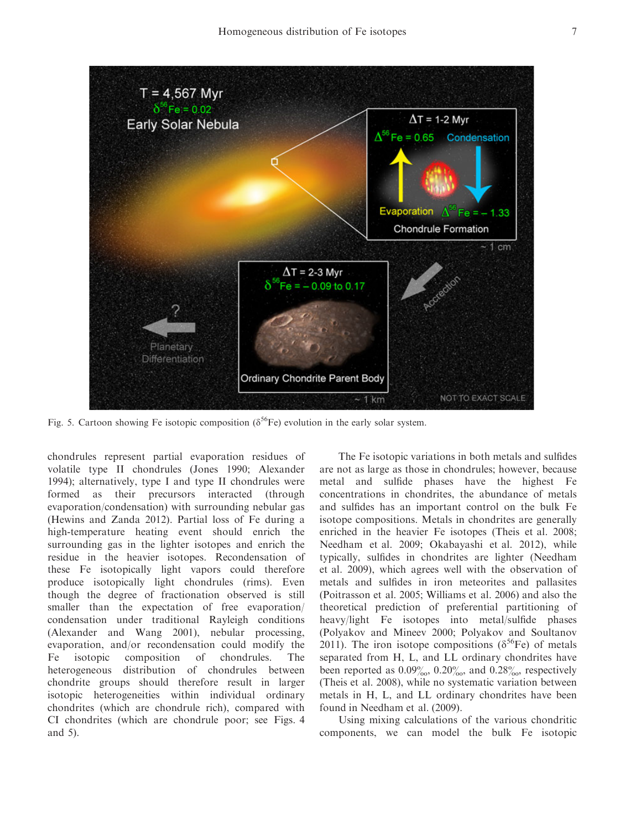

Fig. 5. Cartoon showing Fe isotopic composition ( $\delta^{56}$ Fe) evolution in the early solar system.

chondrules represent partial evaporation residues of volatile type II chondrules (Jones 1990; Alexander 1994); alternatively, type I and type II chondrules were formed as their precursors interacted (through evaporation/condensation) with surrounding nebular gas (Hewins and Zanda 2012). Partial loss of Fe during a high-temperature heating event should enrich the surrounding gas in the lighter isotopes and enrich the residue in the heavier isotopes. Recondensation of these Fe isotopically light vapors could therefore produce isotopically light chondrules (rims). Even though the degree of fractionation observed is still smaller than the expectation of free evaporation/ condensation under traditional Rayleigh conditions (Alexander and Wang 2001), nebular processing, evaporation, and/or recondensation could modify the Fe isotopic composition of chondrules. The heterogeneous distribution of chondrules between chondrite groups should therefore result in larger isotopic heterogeneities within individual ordinary chondrites (which are chondrule rich), compared with CI chondrites (which are chondrule poor; see Figs. 4 and 5).

The Fe isotopic variations in both metals and sulfides are not as large as those in chondrules; however, because metal and sulfide phases have the highest Fe concentrations in chondrites, the abundance of metals and sulfides has an important control on the bulk Fe isotope compositions. Metals in chondrites are generally enriched in the heavier Fe isotopes (Theis et al. 2008; Needham et al. 2009; Okabayashi et al. 2012), while typically, sulfides in chondrites are lighter (Needham et al. 2009), which agrees well with the observation of metals and sulfides in iron meteorites and pallasites (Poitrasson et al. 2005; Williams et al. 2006) and also the theoretical prediction of preferential partitioning of heavy/light Fe isotopes into metal/sulfide phases (Polyakov and Mineev 2000; Polyakov and Soultanov 2011). The iron isotope compositions ( $\delta^{56}$ Fe) of metals separated from H, L, and LL ordinary chondrites have been reported as  $0.09\%_{00}$ ,  $0.20\%_{00}$ , and  $0.28\%_{00}$ , respectively (Theis et al. 2008), while no systematic variation between metals in H, L, and LL ordinary chondrites have been found in Needham et al. (2009).

Using mixing calculations of the various chondritic components, we can model the bulk Fe isotopic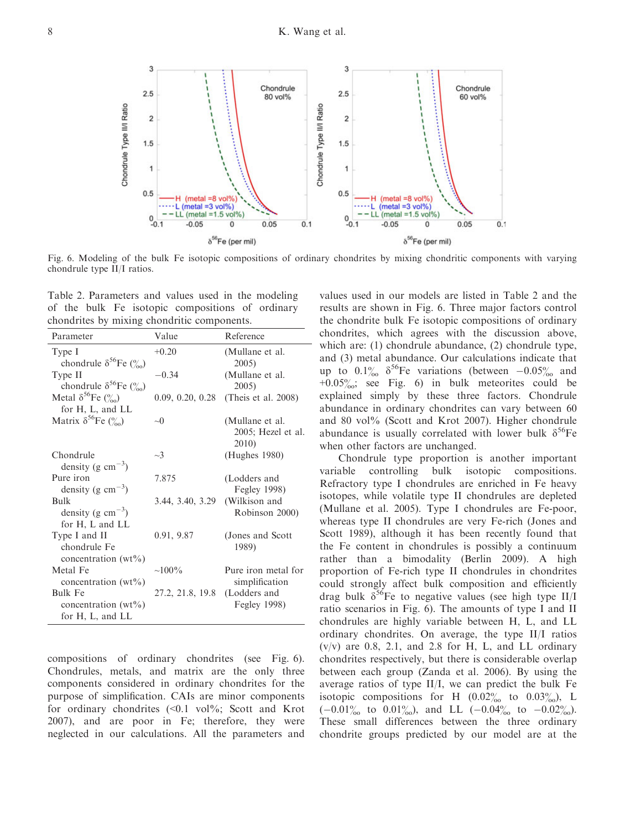Fig. 6. Modeling of the bulk Fe isotopic compositions of ordinary chondrites by mixing chondritic components with varying chondrule type II/I ratios.

Table 2. Parameters and values used in the modeling of the bulk Fe isotopic compositions of ordinary chondrites by mixing chondritic components.

Matrix  $\delta^{56}$ Fe  $\binom{0}{00}$  ~0 (Mullane et al.

+0.20 (Mullane et al.

 $-0.34$  (Mullane et al.

 $\sim$ 3 (Hughes 1980)

7.875 (Lodders and

3.44, 3.40, 3.29 (Wilkison and

0.91, 9.87 (Jones and Scott

 $\sim$ 100% Pure iron metal for

27.2, 21.8, 19.8 (Lodders and

0.09, 0.20, 0.28 (Theis et al. 2008)

2005)

2005)

2010)

1989)

2005; Hezel et al.

Fegley 1998)

Robinson 2000)

simplification

Fegley 1998)

Parameter Value Reference

| compositions of ordinary chondrites (see Fig. 6).                   |  |  |  |  |  |  |  |
|---------------------------------------------------------------------|--|--|--|--|--|--|--|
| Chondrules, metals, and matrix are the only three                   |  |  |  |  |  |  |  |
| components considered in ordinary chondrites for the                |  |  |  |  |  |  |  |
| purpose of simplification. CAIs are minor components                |  |  |  |  |  |  |  |
| for ordinary chondrites $(\leq 0.1 \text{ vol\%})$ ; Scott and Krot |  |  |  |  |  |  |  |
| 2007), and are poor in Fe; therefore, they were                     |  |  |  |  |  |  |  |
| neglected in our calculations. All the parameters and               |  |  |  |  |  |  |  |

values used in our models are listed in Table 2 and the results are shown in Fig. 6. Three major factors control the chondrite bulk Fe isotopic compositions of ordinary chondrites, which agrees with the discussion above, which are: (1) chondrule abundance, (2) chondrule type, and (3) metal abundance. Our calculations indicate that up to  $0.1\%$   $\delta^{56}$ Fe variations (between  $-0.05\%$  and  $+0.05\%$ ; see Fig. 6) in bulk meteorites could be explained simply by these three factors. Chondrule abundance in ordinary chondrites can vary between 60 and 80 vol% (Scott and Krot 2007). Higher chondrule abundance is usually correlated with lower bulk  $\delta^{56}$ Fe when other factors are unchanged.

Chondrule type proportion is another important variable controlling bulk isotopic compositions. Refractory type I chondrules are enriched in Fe heavy isotopes, while volatile type II chondrules are depleted (Mullane et al. 2005). Type I chondrules are Fe-poor, whereas type II chondrules are very Fe-rich (Jones and Scott 1989), although it has been recently found that the Fe content in chondrules is possibly a continuum rather than a bimodality (Berlin 2009). A high proportion of Fe-rich type II chondrules in chondrites could strongly affect bulk composition and efficiently drag bulk  $\delta^{56}$ Fe to negative values (see high type II/I ratio scenarios in Fig. 6). The amounts of type I and II chondrules are highly variable between H, L, and LL ordinary chondrites. On average, the type II/I ratios  $(v/v)$  are 0.8, 2.1, and 2.8 for H, L, and LL ordinary chondrites respectively, but there is considerable overlap between each group (Zanda et al. 2006). By using the average ratios of type II/I, we can predict the bulk Fe isotopic compositions for H  $(0.02\%$  to  $0.03\%$ , L  $(-0.01\%_{00}$  to  $0.01\%_{00})$ , and LL  $(-0.04\%_{00}$  to  $-0.02\%_{00})$ . These small differences between the three ordinary chondrite groups predicted by our model are at the



Type I

Type II

Chondrule

Pure iron

Bulk

chondrule  $\delta^{56}$ Fe  $\binom{0}{00}$ 

chondrule  $\delta^{56}$ Fe (%)

Metal  $\delta^{56}$ Fe  $\binom{0}{00}$ for H, L, and LL

density (g  $\text{cm}^{-3}$ )

density (g  $\text{cm}^{-3}$ )

density (g  $\text{cm}^{-3}$ ) for H, L and LL

concentration  $(wt\%)$ 

concentration  $(wt\%)$ for H, L, and LL

Type I and II chondrule Fe concentration  $(wt\%)$ 

Metal Fe

Bulk Fe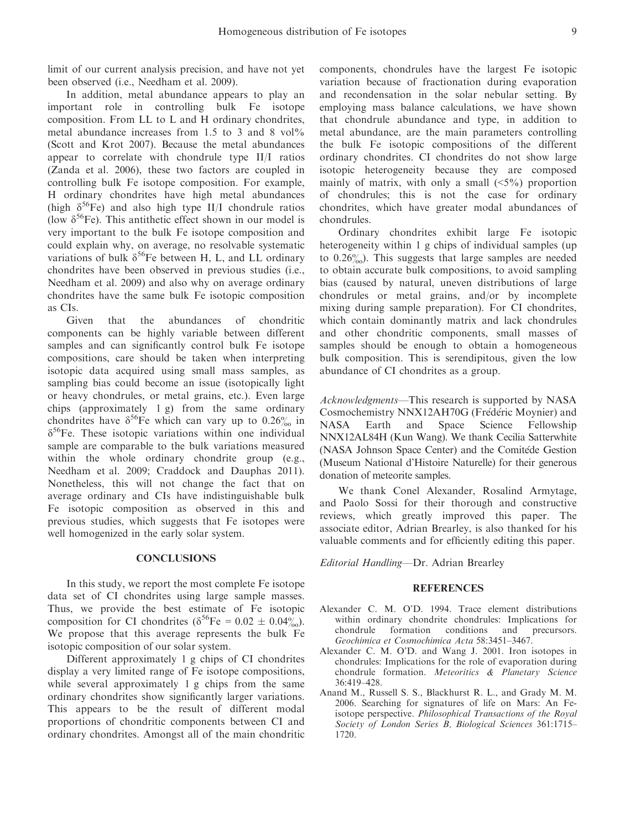limit of our current analysis precision, and have not yet been observed (i.e., Needham et al. 2009).

In addition, metal abundance appears to play an important role in controlling bulk Fe isotope composition. From LL to L and H ordinary chondrites, metal abundance increases from 1.5 to 3 and 8 vol<sup>%</sup> (Scott and Krot 2007). Because the metal abundances appear to correlate with chondrule type II/I ratios (Zanda et al. 2006), these two factors are coupled in controlling bulk Fe isotope composition. For example, H ordinary chondrites have high metal abundances (high  $\delta^{56}$ Fe) and also high type II/I chondrule ratios (low  $\delta^{56}$ Fe). This antithetic effect shown in our model is very important to the bulk Fe isotope composition and could explain why, on average, no resolvable systematic variations of bulk  $\delta^{56}$ Fe between H, L, and LL ordinary chondrites have been observed in previous studies (i.e., Needham et al. 2009) and also why on average ordinary chondrites have the same bulk Fe isotopic composition as CIs.

Given that the abundances of chondritic components can be highly variable between different samples and can significantly control bulk Fe isotope compositions, care should be taken when interpreting isotopic data acquired using small mass samples, as sampling bias could become an issue (isotopically light or heavy chondrules, or metal grains, etc.). Even large chips (approximately 1 g) from the same ordinary chondrites have  $\delta^{56}$ Fe which can vary up to 0.26% in  $\delta^{56}$ Fe. These isotopic variations within one individual sample are comparable to the bulk variations measured within the whole ordinary chondrite group (e.g., Needham et al. 2009; Craddock and Dauphas 2011). Nonetheless, this will not change the fact that on average ordinary and CIs have indistinguishable bulk Fe isotopic composition as observed in this and previous studies, which suggests that Fe isotopes were well homogenized in the early solar system.

#### **CONCLUSIONS**

In this study, we report the most complete Fe isotope data set of CI chondrites using large sample masses. Thus, we provide the best estimate of Fe isotopic composition for CI chondrites ( $\delta^{56}$ Fe = 0.02  $\pm$  0.04%). We propose that this average represents the bulk Fe isotopic composition of our solar system.

Different approximately 1 g chips of CI chondrites display a very limited range of Fe isotope compositions, while several approximately 1 g chips from the same ordinary chondrites show significantly larger variations. This appears to be the result of different modal proportions of chondritic components between CI and ordinary chondrites. Amongst all of the main chondritic components, chondrules have the largest Fe isotopic variation because of fractionation during evaporation and recondensation in the solar nebular setting. By employing mass balance calculations, we have shown that chondrule abundance and type, in addition to metal abundance, are the main parameters controlling the bulk Fe isotopic compositions of the different ordinary chondrites. CI chondrites do not show large isotopic heterogeneity because they are composed mainly of matrix, with only a small  $(\leq 5\%)$  proportion of chondrules; this is not the case for ordinary chondrites, which have greater modal abundances of chondrules.

Ordinary chondrites exhibit large Fe isotopic heterogeneity within 1 g chips of individual samples (up to  $0.26\%$ . This suggests that large samples are needed to obtain accurate bulk compositions, to avoid sampling bias (caused by natural, uneven distributions of large chondrules or metal grains, and/or by incomplete mixing during sample preparation). For CI chondrites, which contain dominantly matrix and lack chondrules and other chondritic components, small masses of samples should be enough to obtain a homogeneous bulk composition. This is serendipitous, given the low abundance of CI chondrites as a group.

Acknowledgments—This research is supported by NASA Cosmochemistry NNX12AH70G (Frederic Moynier) and NASA Earth and Space Science Fellowship NNX12AL84H (Kun Wang). We thank Cecilia Satterwhite (NASA Johnson Space Center) and the Comitede Gestion (Museum National d'Histoire Naturelle) for their generous donation of meteorite samples.

We thank Conel Alexander, Rosalind Armytage, and Paolo Sossi for their thorough and constructive reviews, which greatly improved this paper. The associate editor, Adrian Brearley, is also thanked for his valuable comments and for efficiently editing this paper.

Editorial Handling—Dr. Adrian Brearley

#### **REFERENCES**

- Alexander C. M. O'D. 1994. Trace element distributions within ordinary chondrite chondrules: Implications for chondrule formation conditions and precursors. Geochimica et Cosmochimica Acta 58:3451–3467.
- Alexander C. M. O'D. and Wang J. 2001. Iron isotopes in chondrules: Implications for the role of evaporation during chondrule formation. Meteoritics & Planetary Science 36:419–428.
- Anand M., Russell S. S., Blackhurst R. L., and Grady M. M. 2006. Searching for signatures of life on Mars: An Feisotope perspective. Philosophical Transactions of the Royal Society of London Series B, Biological Sciences 361:1715– 1720.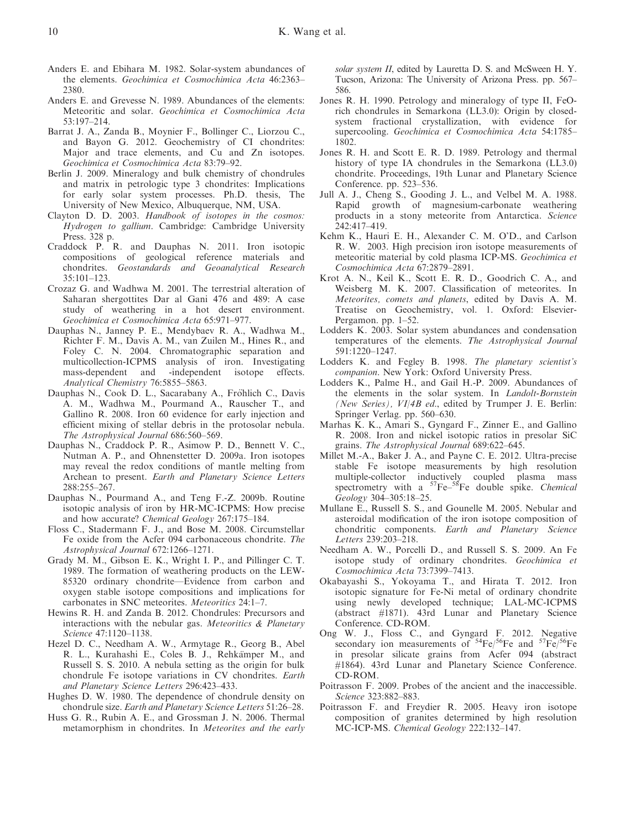- Anders E. and Ebihara M. 1982. Solar-system abundances of the elements. Geochimica et Cosmochimica Acta 46:2363– 2380.
- Anders E. and Grevesse N. 1989. Abundances of the elements: Meteoritic and solar. Geochimica et Cosmochimica Acta 53:197–214.
- Barrat J. A., Zanda B., Moynier F., Bollinger C., Liorzou C., and Bayon G. 2012. Geochemistry of CI chondrites: Major and trace elements, and Cu and Zn isotopes. Geochimica et Cosmochimica Acta 83:79–92.
- Berlin J. 2009. Mineralogy and bulk chemistry of chondrules and matrix in petrologic type 3 chondrites: Implications for early solar system processes. Ph.D. thesis, The University of New Mexico, Albuquerque, NM, USA.
- Clayton D. D. 2003. Handbook of isotopes in the cosmos: Hydrogen to gallium. Cambridge: Cambridge University Press. 328 p.
- Craddock P. R. and Dauphas N. 2011. Iron isotopic compositions of geological reference materials and chondrites. Geostandards and Geoanalytical Research 35:101–123.
- Crozaz G. and Wadhwa M. 2001. The terrestrial alteration of Saharan shergottites Dar al Gani 476 and 489: A case study of weathering in a hot desert environment. Geochimica et Cosmochimica Acta 65:971–977.
- Dauphas N., Janney P. E., Mendybaev R. A., Wadhwa M., Richter F. M., Davis A. M., van Zuilen M., Hines R., and Foley C. N. 2004. Chromatographic separation and multicollection-ICPMS analysis of iron. Investigating mass-dependent and -independent isotope effects. Analytical Chemistry 76:5855-5863.
- Dauphas N., Cook D. L., Sacarabany A., Fröhlich C., Davis A. M., Wadhwa M., Pourmand A., Rauscher T., and Gallino R. 2008. Iron 60 evidence for early injection and efficient mixing of stellar debris in the protosolar nebula. The Astrophysical Journal 686:560–569.
- Dauphas N., Craddock P. R., Asimow P. D., Bennett V. C., Nutman A. P., and Ohnenstetter D. 2009a. Iron isotopes may reveal the redox conditions of mantle melting from Archean to present. Earth and Planetary Science Letters 288:255–267.
- Dauphas N., Pourmand A., and Teng F.-Z. 2009b. Routine isotopic analysis of iron by HR-MC-ICPMS: How precise and how accurate? Chemical Geology 267:175–184.
- Floss C., Stadermann F. J., and Bose M. 2008. Circumstellar Fe oxide from the Acfer 094 carbonaceous chondrite. The Astrophysical Journal 672:1266–1271.
- Grady M. M., Gibson E. K., Wright I. P., and Pillinger C. T. 1989. The formation of weathering products on the LEW-85320 ordinary chondrite—Evidence from carbon and oxygen stable isotope compositions and implications for carbonates in SNC meteorites. Meteoritics 24:1–7.
- Hewins R. H. and Zanda B. 2012. Chondrules: Precursors and interactions with the nebular gas. Meteoritics & Planetary Science 47:1120–1138.
- Hezel D. C., Needham A. W., Armytage R., Georg B., Abel R. L., Kurahashi E., Coles B. J., Rehkämper M., and Russell S. S. 2010. A nebula setting as the origin for bulk chondrule Fe isotope variations in CV chondrites. Earth and Planetary Science Letters 296:423–433.
- Hughes D. W. 1980. The dependence of chondrule density on chondrule size. Earth and Planetary Science Letters 51:26–28.
- Huss G. R., Rubin A. E., and Grossman J. N. 2006. Thermal metamorphism in chondrites. In Meteorites and the early

solar system II, edited by Lauretta D. S. and McSween H. Y. Tucson, Arizona: The University of Arizona Press. pp. 567– 586.

- Jones R. H. 1990. Petrology and mineralogy of type II, FeOrich chondrules in Semarkona (LL3.0): Origin by closedsystem fractional crystallization, with evidence for supercooling. Geochimica et Cosmochimica Acta 54:1785– 1802.
- Jones R. H. and Scott E. R. D. 1989. Petrology and thermal history of type IA chondrules in the Semarkona (LL3.0) chondrite. Proceedings, 19th Lunar and Planetary Science Conference. pp. 523–536.
- Jull A. J., Cheng S., Gooding J. L., and Velbel M. A. 1988. Rapid growth of magnesium-carbonate weathering products in a stony meteorite from Antarctica. Science 242:417–419.
- Kehm K., Hauri E. H., Alexander C. M. O'D., and Carlson R. W. 2003. High precision iron isotope measurements of meteoritic material by cold plasma ICP-MS. Geochimica et Cosmochimica Acta 67:2879–2891.
- Krot A. N., Keil K., Scott E. R. D., Goodrich C. A., and Weisberg M. K. 2007. Classification of meteorites. In Meteorites, comets and planets, edited by Davis A. M. Treatise on Geochemistry, vol. 1. Oxford: Elsevier-Pergamon. pp. 1–52.
- Lodders K. 2003. Solar system abundances and condensation temperatures of the elements. The Astrophysical Journal 591:1220–1247.
- Lodders K. and Fegley B. 1998. The planetary scientist's companion. New York: Oxford University Press.
- Lodders K., Palme H., and Gail H.-P. 2009. Abundances of the elements in the solar system. In Landolt-Bornstein (New Series), VI/4B ed., edited by Trumper J. E. Berlin: Springer Verlag. pp. 560–630.
- Marhas K. K., Amari S., Gyngard F., Zinner E., and Gallino R. 2008. Iron and nickel isotopic ratios in presolar SiC grains. The Astrophysical Journal 689:622–645.
- Millet M.-A., Baker J. A., and Payne C. E. 2012. Ultra-precise stable Fe isotope measurements by high resolution multiple-collector inductively coupled plasma mass<br>spectrometry with a  ${}^{57}Fe-{}^{58}Fe$  double spike. *Chemical* Geology 304–305:18–25.
- Mullane E., Russell S. S., and Gounelle M. 2005. Nebular and asteroidal modification of the iron isotope composition of chondritic components. Earth and Planetary Science Letters 239:203–218.
- Needham A. W., Porcelli D., and Russell S. S. 2009. An Fe isotope study of ordinary chondrites. Geochimica et Cosmochimica Acta 73:7399–7413.
- Okabayashi S., Yokoyama T., and Hirata T. 2012. Iron isotopic signature for Fe-Ni metal of ordinary chondrite using newly developed technique; LAL-MC-ICPMS (abstract #1871). 43rd Lunar and Planetary Science Conference. CD-ROM.
- Ong W. J., Floss C., and Gyngard F. 2012. Negative secondary ion measurements of  $54Fe^{56}Fe$  and  $57Fe^{56}Fe$ in presolar silicate grains from Acfer 094 (abstract #1864). 43rd Lunar and Planetary Science Conference. CD-ROM.
- Poitrasson F. 2009. Probes of the ancient and the inaccessible. Science 323:882–883.
- Poitrasson F. and Freydier R. 2005. Heavy iron isotope composition of granites determined by high resolution MC-ICP-MS. Chemical Geology 222:132–147.